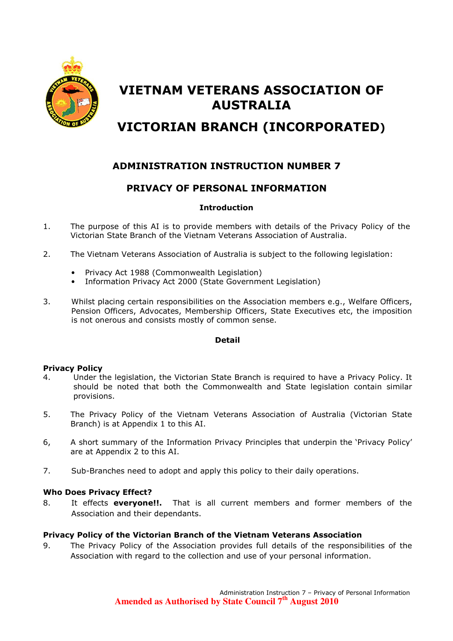

# VIETNAM VETERANS ASSOCIATION OF AUSTRALIA

## VICTORIAN BRANCH (INCORPORATED)

## ADMINISTRATION INSTRUCTION NUMBER 7

## PRIVACY OF PERSONAL INFORMATION

#### Introduction

- 1. The purpose of this AI is to provide members with details of the Privacy Policy of the Victorian State Branch of the Vietnam Veterans Association of Australia.
- 2. The Vietnam Veterans Association of Australia is subject to the following legislation:
	- Privacy Act 1988 (Commonwealth Legislation)
	- Information Privacy Act 2000 (State Government Legislation)
- 3. Whilst placing certain responsibilities on the Association members e.g., Welfare Officers, Pension Officers, Advocates, Membership Officers, State Executives etc, the imposition is not onerous and consists mostly of common sense.

#### Detail

#### Privacy Policy

- 4. Under the legislation, the Victorian State Branch is required to have a Privacy Policy. It should be noted that both the Commonwealth and State legislation contain similar provisions.
- 5. The Privacy Policy of the Vietnam Veterans Association of Australia (Victorian State Branch) is at Appendix 1 to this AI.
- 6, A short summary of the Information Privacy Principles that underpin the 'Privacy Policy' are at Appendix 2 to this AI.
- 7. Sub-Branches need to adopt and apply this policy to their daily operations.

#### Who Does Privacy Effect?

8. It effects **everyone!!.** That is all current members and former members of the Association and their dependants.

#### Privacy Policy of the Victorian Branch of the Vietnam Veterans Association

9. The Privacy Policy of the Association provides full details of the responsibilities of the Association with regard to the collection and use of your personal information.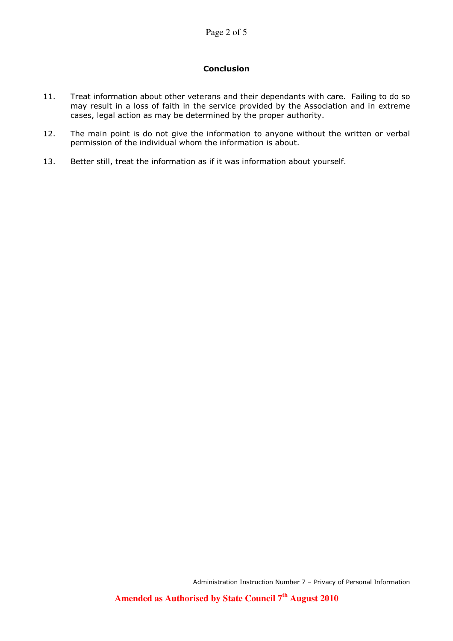#### Conclusion

- 11. Treat information about other veterans and their dependants with care. Failing to do so may result in a loss of faith in the service provided by the Association and in extreme cases, legal action as may be determined by the proper authority.
- 12. The main point is do not give the information to anyone without the written or verbal permission of the individual whom the information is about.
- 13. Better still, treat the information as if it was information about yourself.

Administration Instruction Number 7 – Privacy of Personal Information

**Amended as Authorised by State Council 7th August 2010**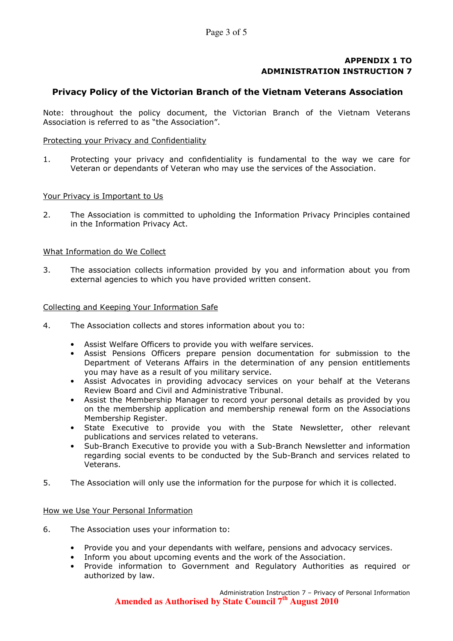#### APPENDIX 1 TO ADMINISTRATION INSTRUCTION 7

#### Privacy Policy of the Victorian Branch of the Vietnam Veterans Association

Note: throughout the policy document, the Victorian Branch of the Vietnam Veterans Association is referred to as "the Association".

#### Protecting your Privacy and Confidentiality

1. Protecting your privacy and confidentiality is fundamental to the way we care for Veteran or dependants of Veteran who may use the services of the Association.

#### Your Privacy is Important to Us

2. The Association is committed to upholding the Information Privacy Principles contained in the Information Privacy Act.

#### What Information do We Collect

3. The association collects information provided by you and information about you from external agencies to which you have provided written consent.

#### Collecting and Keeping Your Information Safe

- 4. The Association collects and stores information about you to:
	- Assist Welfare Officers to provide you with welfare services.
	- Assist Pensions Officers prepare pension documentation for submission to the Department of Veterans Affairs in the determination of any pension entitlements you may have as a result of you military service.
	- Assist Advocates in providing advocacy services on your behalf at the Veterans Review Board and Civil and Administrative Tribunal.
	- Assist the Membership Manager to record your personal details as provided by you on the membership application and membership renewal form on the Associations Membership Register.
	- State Executive to provide you with the State Newsletter, other relevant publications and services related to veterans.
	- Sub-Branch Executive to provide you with a Sub-Branch Newsletter and information regarding social events to be conducted by the Sub-Branch and services related to Veterans.
- 5. The Association will only use the information for the purpose for which it is collected.

#### How we Use Your Personal Information

- 6. The Association uses your information to:
	- Provide you and your dependants with welfare, pensions and advocacy services.
	- Inform you about upcoming events and the work of the Association.
	- Provide information to Government and Regulatory Authorities as required or authorized by law.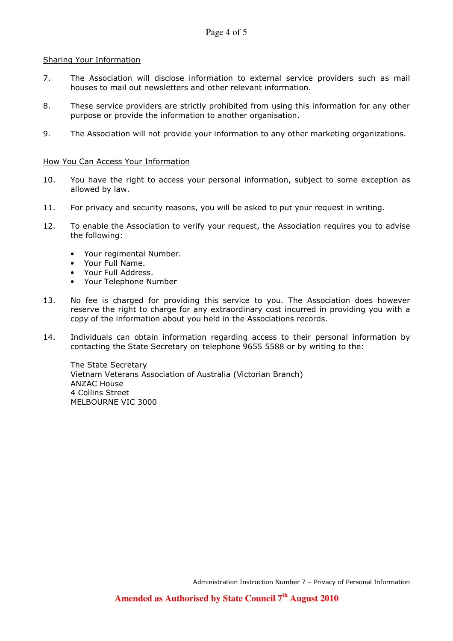#### Sharing Your Information

- 7. The Association will disclose information to external service providers such as mail houses to mail out newsletters and other relevant information.
- 8. These service providers are strictly prohibited from using this information for any other purpose or provide the information to another organisation.
- 9. The Association will not provide your information to any other marketing organizations.

#### How You Can Access Your Information

- 10. You have the right to access your personal information, subject to some exception as allowed by law.
- 11. For privacy and security reasons, you will be asked to put your request in writing.
- 12. To enable the Association to verify your request, the Association requires you to advise the following:
	- Your regimental Number.
	- Your Full Name.
	- Your Full Address.
	- Your Telephone Number
- 13. No fee is charged for providing this service to you. The Association does however reserve the right to charge for any extraordinary cost incurred in providing you with a copy of the information about you held in the Associations records.
- 14. Individuals can obtain information regarding access to their personal information by contacting the State Secretary on telephone 9655 5588 or by writing to the:

The State Secretary Vietnam Veterans Association of Australia (Victorian Branch) ANZAC House 4 Collins Street MELBOURNE VIC 3000

Administration Instruction Number 7 – Privacy of Personal Information

**Amended as Authorised by State Council 7th August 2010**